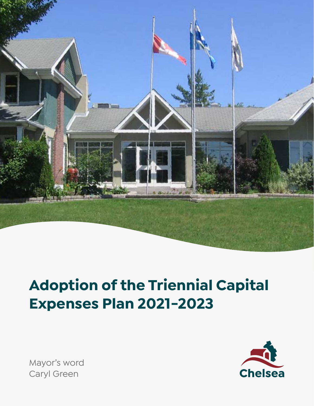

# **Adoption of the Triennial Capital Expenses Plan 2021-2023**



Mayor's word Caryl Green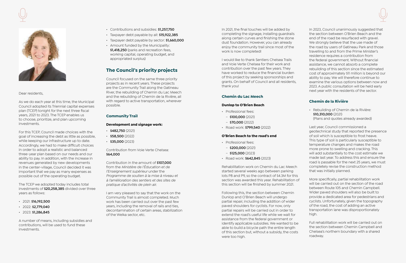

Dear residents,

As we do each year at this time, the Municipal Council adopted its Triennial capital expenses plan (TCEP) tonight for the next three fiscal years, 2021 to 2023. The TCEP enables us to choose, prioritize, and plan upcoming investments.

For this TCEP, Council made choices with the goal of increasing the debt as little as possible, while keeping our infrastructure up to date. Accordingly, we had to make difficult choices in order to adopt a realistic and balanced three-year plan based on our needs and our ability to pay. In addition, with the increase in revenues generated by new developments in the center-village, Council decided it was important that we pay as many expenses as possible out of the operating budget.

The TCEP we adopted today includes total investments of **\$20,258,385** divided over three years as follows:

- 2021: **\$16,192,500**
- 2022: **\$2,779,040**
- 2023: **\$1,286,845**

A number of means, including subsidies and contributions, will be used to fund these investments.

- Contributions and subsidies: **\$1,257,750**
- Taxpayer debt payable by all: **\$15,922,385**
- Taxpayer debt payable by sector: **\$1,660,000**
- Amount funded by the Municipality: **\$1,418,250** (parks and recreation fees, working capital, operating budget, and appropriated surplus)

# **The Council's priority projects**

Council focused on the same three priority projects as in recent years. These projects are the Community Trail along the Gatineau River, the rebuilding of Chemin du Lac Meech and the rebuilding of Chemin de la Rivière, all with regard to active transportation, wherever possible.

## **Community Trail**

#### **Development and signage work:**

- $\cdot$  \$482,750 (2021)
- $\cdot$  \$58,500 (2022)
- $\cdot$  \$35,000 (2023)

Contribution from Voie Verte Chelsea: **\$64,000**

Contribution in the amount of **\$107,000** from the *Ministère de l'Éducation et de l'Enseignement supérieur* under the *Programme de soutien à la mise à niveau et à l'amélioration des sentiers et des sites de pratique d'activités de plein air.*

I am very pleased to say that the work on the Community Trail is almost completed. Much work has been carried out over the past few years, including the removal of rails and ties, decontamination of certain areas, stabilization of the Welka sector, etc.

In 2021, the final touches will be added by completing the signage, installing guardrails along certain curves and finishing the stone dust foundation. However, you can already enjoy the community trail since most of the work is now completed!

I would like to thank Sentiers Chelsea Trails and Voie Verte Chelsea for their work and contribution over the past few years. They have worked to reduce the financial burden of this project by seeking sponsorships and grants. On behalf of Council and all residents, thank you!

#### **Chemin du Lac Meech**

#### **Dunlop to O'Brien Beach**

- Professional fees:
- **\$100,000** (2021)
- **\$70,000** (2022)
- Road work: **\$799,540** (2022)

#### **O'Brien Beach to the road's end**

- Professional fees:
- **\$200,000** (2021)
- **\$125,000** (2023)
- Road work: **\$642,845** (2023)

Rehabilitation work on Chemin du Lac Meech started several weeks ago between parking lots P8 and P9, so the contract of \$4.3M for this section was awarded this year. Rehabilitation of this section will be finished by summer 2021.

Following this, the section between Chemin Dunlop and O'Brien Beach will undergo partial repair, including the addition of wider paved shoulders for cyclists. For now, only partial repairs will be carried out in order to extend the road's useful life while we wait for assistance from the federal government or identify applicable subsidies. We wanted to be able to build a bicycle path the entire length of this section but, without a subsidy, the costs were too high.



In 2023, Council unanimously suggested that the section between O'Brien Beach and the end of the road be resurfaced with gravel. We strongly believe that the use made of the road by users of Gatineau Park and those travelling to and from the Prime Minister's residence requires a contribution from the federal government. Without financial assistance, we cannot absorb a complete rebuilding of this section since the estimated cost of approximately \$11 million is beyond our ability to pay. We will therefore continue to examine the various options between now and 2023. A public consultation will be held early next year with the residents of the sector.

### **Chemin de la Rivière**

• Rebuilding of Chemin de la Rivière: **\$10,310,000** (2021) (Plans and quotes already awarded)

Last year, Council commissioned a geotechnical study that reported the presence of soil which is susceptible to frost heave. This type of soil is particularly susceptible to temperature changes and makes the road more prone to swelling and cracking. This will add substantially to the cost estimate we made last year. To address this and ensure the road is passable for the next 25 years, we must completely revise the construction method that was initially planned.

More specifically, partial rehabilitation work will be carried out on the section of the road between Route 105 and Chemin Campbell. Wider paved shoulders will also be built to provide a dedicated area for pedestrians and cyclists. Unfortunately, given the topography of the road, the cost of adding an active transportation lane was disproportionately high.

Full rehabilitation work will be carried out on the section between Chemin Campbell and Chelsea's northern boundary with a shared roadway.